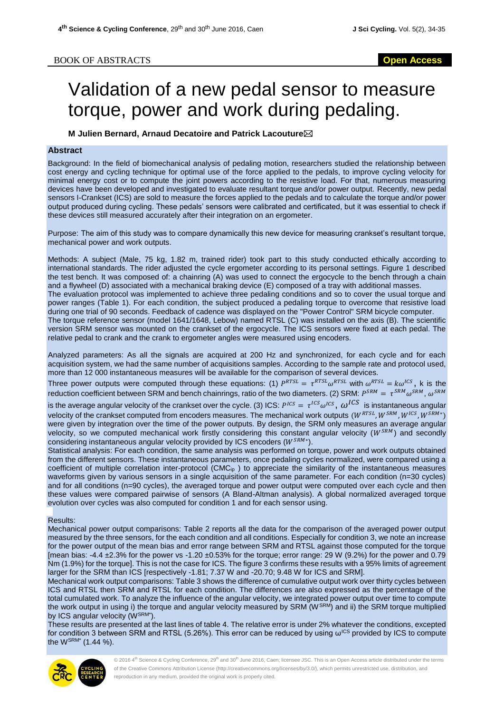## Validation of a new pedal sensor to measure torque, power and work during pedaling.

**M Julien Bernard, Arnaud Decatoire and Patrick Lacouture**

## **Abstract**

Background: In the field of biomechanical analysis of pedaling motion, researchers studied the relationship between cost energy and cycling technique for optimal use of the force applied to the pedals, to improve cycling velocity for minimal energy cost or to compute the joint powers according to the resistive load. For that, numerous measuring devices have been developed and investigated to evaluate resultant torque and/or power output. Recently, new pedal sensors I-Crankset (ICS) are sold to measure the forces applied to the pedals and to calculate the torque and/or power output produced during cycling. These pedals' sensors were calibrated and certificated, but it was essential to check if these devices still measured accurately after their integration on an ergometer.

Purpose: The aim of this study was to compare dynamically this new device for measuring crankset's resultant torque, mechanical power and work outputs.

Methods: A subject (Male, 75 kg, 1.82 m, trained rider) took part to this study conducted ethically according to international standards. The rider adjusted the cycle ergometer according to its personal settings. Figure 1 described the test bench. It was composed of: a chainring (A) was used to connect the ergocycle to the bench through a chain and a flywheel (D) associated with a mechanical braking device (E) composed of a tray with additional masses. The evaluation protocol was implemented to achieve three pedaling conditions and so to cover the usual torque and power ranges (Table 1). For each condition, the subject produced a pedaling torque to overcome that resistive load during one trial of 90 seconds. Feedback of cadence was displayed on the "Power Control" SRM bicycle computer. The torque reference sensor (model 1641/1648, Lebow) named RTSL (C) was installed on the axis (B). The scientific version SRM sensor was mounted on the crankset of the ergocycle. The ICS sensors were fixed at each pedal. The relative pedal to crank and the crank to ergometer angles were measured using encoders.

Analyzed parameters: As all the signals are acquired at 200 Hz and synchronized, for each cycle and for each acquisition system, we had the same number of acquisitions samples. According to the sample rate and protocol used, more than 12 000 instantaneous measures will be available for the comparison of several devices.

Three power outputs were computed through these equations: (1)  $P^{RTSL} = \tau^{RTSL} \omega^{RTSL}$  with  $\omega^{RTSL} = k \omega^{ICS}$ , k is the reduction coefficient between SRM and bench chainrings, ratio of the two diameters. (2) SRM:  $P^{SRM} = \tau^{SRM} \omega^{SRM}$ ,  $\omega^{SRM}$ 

is the average angular velocity of the crankset over the cycle. (3) ICS:  $P^{ICS} = \tau^{ICS}\omega^{ICS}$ ,  $\omega^{ICS}$  is instantaneous angular velocity of the crankset computed from encoders measures. The mechanical work outputs  $(W^{RTSL}, W^{SRM}, W^{ICS}, W^{SRM*})$ were given by integration over the time of the power outputs. By design, the SRM only measures an average angular velocity, so we computed mechanical work firstly considering this constant angular velocity ( $W^{SRM}$ ) and secondly considering instantaneous angular velocity provided by ICS encoders ( $W^{SRM*}$ ).

Statistical analysis: For each condition, the same analysis was performed on torque, power and work outputs obtained from the different sensors. These instantaneous parameters, once pedaling cycles normalized, were compared using a coefficient of multiple correlation inter-protocol (CMCip ) to appreciate the similarity of the instantaneous measures waveforms given by various sensors in a single acquisition of the same parameter. For each condition (n=30 cycles) and for all conditions (n=90 cycles), the averaged torque and power output were computed over each cycle and then these values were compared pairwise of sensors (A Bland-Altman analysis). A global normalized averaged torque evolution over cycles was also computed for condition 1 and for each sensor using.

## Results:

Mechanical power output comparisons: Table 2 reports all the data for the comparison of the averaged power output measured by the three sensors, for the each condition and all conditions. Especially for condition 3, we note an increase for the power output of the mean bias and error range between SRM and RTSL against those computed for the torque [mean bias: -4.4 ±2.3% for the power vs -1.20 ±0.53% for the torque; error range: 29 W (9.2%) for the power and 0.79 Nm (1.9%) for the torque]. This is not the case for ICS. The figure 3 confirms these results with a 95% limits of agreement larger for the SRM than ICS [respectively -1.81; 7.37 W and -20.70; 9.48 W for ICS and SRM].

Mechanical work output comparisons: Table 3 shows the difference of cumulative output work over thirty cycles between ICS and RTSL then SRM and RTSL for each condition. The differences are also expressed as the percentage of the total cumulated work. To analyze the influence of the angular velocity, we integrated power output over time to compute the work output in using i) the torque and angular velocity measured by SRM (W<sup>SRM</sup>) and ii) the SRM torque multiplied by ICS angular velocity (WSRM\*).

These results are presented at the last lines of table 4. The relative error is under 2% whatever the conditions, excepted for condition 3 between SRM and RTSL (5.26%). This error can be reduced by using  $\omega^{\text{ICS}}$  provided by ICS to compute the WSRM\* (1.44 %).

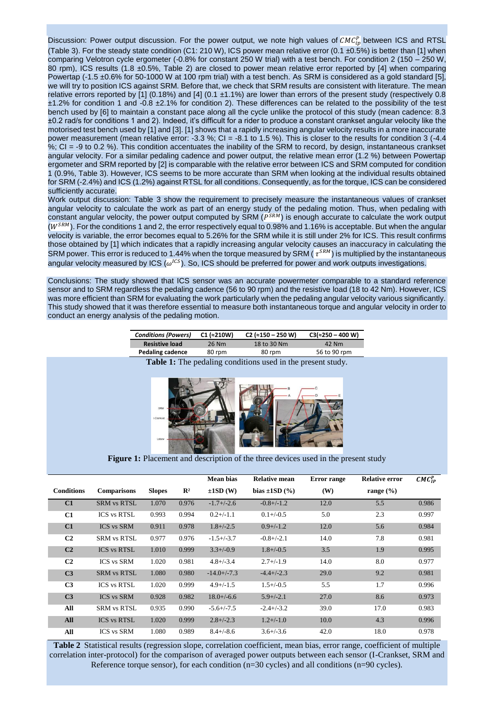Discussion: Power output discussion. For the power output, we note high values of  $CMC_{ip}^P$  between ICS and RTSL (Table 3). For the steady state condition (C1: 210 W), ICS power mean relative error (0.1  $\pm$ 0.5%) is better than [1] when comparing Velotron cycle ergometer (-0.8% for constant 250 W trial) with a test bench. For condition 2 (150 – 250 W, 80 rpm), ICS results (1.8 ±0.5%, Table 2) are closed to power mean relative error reported by [4] when comparing Powertap (-1.5 ±0.6% for 50-1000 W at 100 rpm trial) with a test bench. As SRM is considered as a gold standard [5], we will try to position ICS against SRM. Before that, we check that SRM results are consistent with literature. The mean relative errors reported by [1] (0.18%) and [4] (0.1  $\pm$ 1.1%) are lower than errors of the present study (respectively 0.8 ±1.2% for condition 1 and -0.8 ±2.1% for condition 2). These differences can be related to the possibility of the test bench used by [6] to maintain a constant pace along all the cycle unlike the protocol of this study (mean cadence: 8.3 ±0.2 rad/s for conditions 1 and 2). Indeed, it's difficult for a rider to produce a constant crankset angular velocity like the motorised test bench used by [1] and [3]. [1] shows that a rapidly increasing angular velocity results in a more inaccurate power measurement (mean relative error: -3.3 %; CI = -8.1 to 1.5 %). This is closer to the results for condition 3 (-4.4 %; CI = -9 to 0.2 %). This condition accentuates the inability of the SRM to record, by design, instantaneous crankset angular velocity. For a similar pedaling cadence and power output, the relative mean error (1.2 %) between Powertap ergometer and SRM reported by [2] is comparable with the relative error between ICS and SRM computed for condition 1 (0.9%, Table 3). However, ICS seems to be more accurate than SRM when looking at the individual results obtained for SRM (-2.4%) and ICS (1.2%) against RTSL for all conditions. Consequently, as for the torque, ICS can be considered sufficiently accurate.

Work output discussion: Table 3 show the requirement to precisely measure the instantaneous values of crankset angular velocity to calculate the work as part of an energy study of the pedaling motion. Thus, when pedaling with constant angular velocity, the power output computed by SRM  $(P^{SRM})$  is enough accurate to calculate the work output  $(W^{SRM})$ . For the conditions 1 and 2, the error respectively equal to 0.98% and 1.16% is acceptable. But when the angular velocity is variable, the error becomes equal to 5.26% for the SRM while it is still under 2% for ICS. This result confirms those obtained by [1] which indicates that a rapidly increasing angular velocity causes an inaccuracy in calculating the SRM power. This error is reduced to 1.44% when the torque measured by SRM (  $\tau^{SRM}$ ) is multiplied by the instantaneous angular velocity measured by ICS ( $\omega^{ICS}$ ). So, ICS should be preferred for power and work outputs investigations.

Conclusions: The study showed that ICS sensor was an accurate powermeter comparable to a standard reference sensor and to SRM regardless the pedaling cadence (56 to 90 rpm) and the resistive load (18 to 42 Nm). However, ICS was more efficient than SRM for evaluating the work particularly when the pedaling angular velocity various significantly. This study showed that it was therefore essential to measure both instantaneous torque and angular velocity in order to conduct an energy analysis of the pedaling motion.

| <b>Conditions (Powers)</b> | $C1$ ( $\approx$ 210W) | $C2$ ( $\approx$ 150 – 250 W) | $C3 \approx 250 - 400$ W) |
|----------------------------|------------------------|-------------------------------|---------------------------|
| <b>Resistive load</b>      | 26 Nm                  | 18 to 30 Nm                   | 42 Nm                     |
| <b>Pedaling cadence</b>    | 80 rpm                 | 80 rpm                        | 56 to 90 rpm              |
|                            |                        | .                             |                           |

**Table 1:** The pedaling conditions used in the present study.



Figure 1: Placement and description of the three devices used in the present study

|                   |                    |               |                | <b>Mean bias</b> | <b>Relative mean</b> | <b>Error</b> range | <b>Relative error</b> | $CMC_{IP}^P$ |
|-------------------|--------------------|---------------|----------------|------------------|----------------------|--------------------|-----------------------|--------------|
| <b>Conditions</b> | <b>Comparisons</b> | <b>Slopes</b> | $\mathbf{R}^2$ | $\pm 1SD$ (W)    | bias $\pm 1SD(%)$    | (W)                | range $(\% )$         |              |
| C1                | <b>SRM vs RTSL</b> | 1.070         | 0.976          | $-1.7 + (-2.6)$  | $-0.8 + (-1.2)$      | 12.0               | 5.5                   | 0.986        |
| C1                | <b>ICS vs RTSL</b> | 0.993         | 0.994          | $0.2 + (-1.1)$   | $0.1 + (-0.5)$       | 5.0                | 2.3                   | 0.997        |
| C1                | <b>ICS vs SRM</b>  | 0.911         | 0.978          | $1.8 + (-2.5)$   | $0.9 + (-1.2)$       | 12.0               | 5.6                   | 0.984        |
| C <sub>2</sub>    | <b>SRM vs RTSL</b> | 0.977         | 0.976          | $-1.5+/-3.7$     | $-0.8 + (-2.1)$      | 14.0               | 7.8                   | 0.981        |
| C <sub>2</sub>    | <b>ICS vs RTSL</b> | 1.010         | 0.999          | $3.3+/0.9$       | $1.8 + (-0.5)$       | 3.5                | 1.9                   | 0.995        |
| C <sub>2</sub>    | <b>ICS vs SRM</b>  | 1.020         | 0.981          | $4.8 + (-3.4)$   | $2.7 + (-1.9)$       | 14.0               | 8.0                   | 0.977        |
| C <sub>3</sub>    | <b>SRM vs RTSL</b> | 1.080         | 0.980          | $-14.0 + (-7.3)$ | $-4.4+/-2.3$         | 29.0               | 9.2                   | 0.981        |
| C <sub>3</sub>    | <b>ICS vs RTSL</b> | 1.020         | 0.999          | $4.9 + (-1.5)$   | $1.5 + (-0.5)$       | 5.5                | 1.7                   | 0.996        |
| C <sub>3</sub>    | <b>ICS vs SRM</b>  | 0.928         | 0.982          | $18.0 + (-6.6)$  | $5.9 + (-2.1)$       | 27.0               | 8.6                   | 0.973        |
| All               | SRM vs RTSL        | 0.935         | 0.990          | $-5.6 + (-7.5)$  | $-2.4+/-3.2$         | 39.0               | 17.0                  | 0.983        |
| All               | <b>ICS vs RTSL</b> | 1.020         | 0.999          | $2.8 + (-2.3)$   | $1.2 + (-1.0)$       | 10.0               | 4.3                   | 0.996        |
| All               | <b>ICS vs SRM</b>  | 1.080         | 0.989          | $8.4 + (-8.6)$   | $3.6 + (-3.6)$       | 42.0               | 18.0                  | 0.978        |

**Table 2**Statistical results (regression slope, correlation coefficient, mean bias, error range, coefficient of multiple correlation inter-protocol) for the comparison of averaged power outputs between each sensor (I-Crankset, SRM and Reference torque sensor), for each condition (n=30 cycles) and all conditions (n=90 cycles).